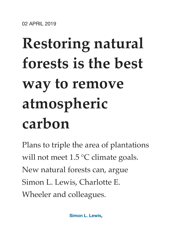# **Restoring natural forests is the best way to remove atmospheric carbon**

Plans to triple the area of plantations will not meet 1.5 °C climate goals. New natural forests can, argue Simon L. Lewis, Charlotte E. Wheeler and colleagues.

**[Simon L. Lewis,](javascript:;)**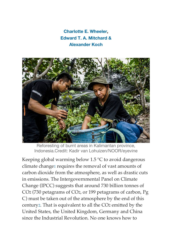**[Charlotte E. Wheeler,](javascript:;) [Edward T. A. Mitchard &](javascript:;) [Alexander Koch](javascript:;)**



Reforesting of burnt areas in Kalimantan province, Indonesia.Credit: Kadir van Lohuizen/NOOR/eyevine

Keeping global warming below 1.5 °C to avoid dangerous climate change[1](https://www.nature.com/articles/d41586-019-01026-8#ref-CR1) requires the removal of vast amounts of carbon dioxide from the atmosphere, as well as drastic cuts in emissions. The Intergovernmental Panel on Climate Change (IPCC) suggests that around 730 billion tonnes of CO2 (730 petagrams of CO2, or 199 petagrams of carbon, Pg C) must be taken out of the atmosphere by the end of this centur[y2](https://www.nature.com/articles/d41586-019-01026-8#ref-CR2). That is equivalent to all the CO2 emitted by the United States, the United Kingdom, Germany and China since the Industrial Revolution. No one knows how to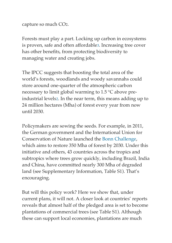capture so much CO2.

Forests must play a part. Locking up carbon in ecosystems is proven, safe and often affordable[3.](https://www.nature.com/articles/d41586-019-01026-8#ref-CR3) Increasing tree cover has other benefits, from protecting biodiversity to managing water and creating jobs.

The IPCC suggests that boosting the total area of the world's forests, woodlands and woody savannahs could store around one-quarter of the atmospheric carbon necessary to limit global warming to 1.5 °C above preindustrial levels[2](https://www.nature.com/articles/d41586-019-01026-8#ref-CR2). In the near term, this means adding up to 24 million hectares (Mha) of forest every year from now until 2030.

Policymakers are sowing the seeds. For example, in 2011, the German government and the International Union for Conservation of Nature launched the [Bonn Challenge,](http://www.bonnchallenge.org/) which aims to restore 350 Mha of forest by 2030. Under this initiative and others, 43 countries across the tropics and subtropics where trees grow quickly, including Brazil, India and China, have committed nearly 300 Mha of degraded land (see Supplementary Information, Table S1). That's encouraging.

But will this policy work? Here we show that, under current plans, it will not. A closer look at countries' reports reveals that almost half of the pledged area is set to become plantations of commercial trees (see Table S1). Although these can support local economies, plantations are much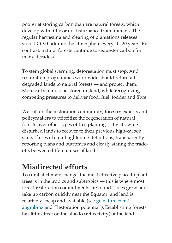poorer at storing carbon than are natural forests, which develop with little or no disturbance from humans. The regular harvesting and clearing of plantations releases stored CO2 back into the atmosphere every 10–20 years. By contrast, natural forests continue to sequester carbon for many decades[4](https://www.nature.com/articles/d41586-019-01026-8#ref-CR4).

To stem global warming, deforestation must stop. And restoration programmes worldwide should return all degraded lands to natural forests — and protect them. More carbon must be stored on land, while recognizing competing pressures to deliver food, fuel, fodder and fibre.

We call on the restoration community, forestry experts and policymakers to prioritize the regeneration of natural forests over other types of tree planting — by allowing disturbed lands to recover to their previous high-carbon state. This will entail tightening definitions, transparently reporting plans and outcomes and clearly stating the tradeoffs between different uses of land.

# **Misdirected efforts**

To combat climate change, the most effective place to plant trees is in the tropics and subtropics — this is where most forest-restoration commitments are found. Trees grow and take up carbon quickly near the Equator, and land is relatively cheap and available (see [go.nature.com/](http://go.nature.com/2ogmbmz) [2ogmbmz](http://go.nature.com/2ogmbmz) and 'Restoration potential'). Establishing forests has little effect on the albedo (reflectivity) of the land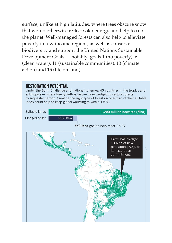surface, unlike at high latitudes, where trees obscure snow that would otherwise reflect solar energy and help to cool the planet. Well-managed forests can also help to alleviate poverty in low-income regions, as well as conserve biodiversity and support the United Nations Sustainable Development Goals — notably, goals 1 (no poverty), 6 (clean water), 11 (sustainable communities), 13 (climate action) and 15 (life on land).

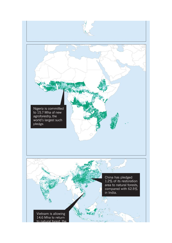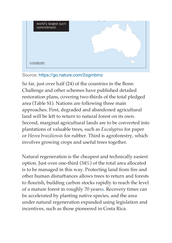

### Source: <https://go.nature.com/2ogmbmz>

So far, just over half (24) of the countries in the Bonn Challenge and other schemes have published detailed restoration plans, covering two-thirds of the total pledged area (Table S1). Nations are following three main approaches. First, degraded and abandoned agricultural land will be left to return to natural forest on its own. Second, marginal agricultural lands are to be converted into plantations of valuable trees, such as *Eucalyptus* for paper or *Hevea braziliensis* for rubber. Third is agroforestry, which involves growing crops and useful trees together.

Natural regeneration is the cheapest and technically easiest option. Just over one-third (34%) of the total area allocated is to be managed in this way. Protecting land from fire and other human disturbances allows trees to return and forests to flourish, building carbon stocks rapidly to reach the level of a mature forest in roughly 70 years[4.](https://www.nature.com/articles/d41586-019-01026-8#ref-CR4) Recovery times can be accelerated by planting native species, and the area under natural regeneration expanded using legislation and incentives, such as those pioneered in Costa Rica.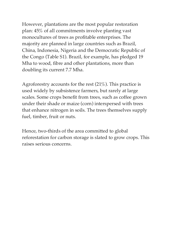However, plantations are the most popular restoration plan: 45% of all commitments involve planting vast monocultures of trees as profitable enterprises. The majority are planned in large countries such as Brazil, China, Indonesia, Nigeria and the Democratic Republic of the Congo (Table S1). Brazil, for example, has pledged 19 Mha to wood, fibre and other plantations, more than doubling its current 7.7 Mha.

Agroforestry accounts for the rest (21%). This practice is used widely by subsistence farmers, but rarely at large scales. Some crops benefit from trees, such as coffee grown under their shade or maize (corn) interspersed with trees that enhance nitrogen in soils. The trees themselves supply fuel, timber, fruit or nuts.

Hence, two-thirds of the area committed to global reforestation for carbon storage is slated to grow crops. This raises serious concerns.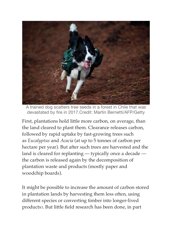

A trained dog scatters tree seeds in a forest in Chile that was devastated by fire in 2017.Credit: Martin Bernetti/AFP/Getty

First, plantations hold little more carbon, on average, than the land cleared to plant them. Clearance releases carbon, followed by rapid uptake by fast-growing trees such as *Eucalyptus* and *Acacia* (at up to 5 tonnes of carbon per hectare per year). But after such trees are harvested and the land is cleared for replanting — typically once a decade the carbon is released again by the decomposition of plantation waste and products (mostly paper and woodchip boards).

It might be possible to increase the amount of carbon stored in plantation lands by harvesting them less often, using different species or converting timber into longer-lived products[3.](https://www.nature.com/articles/d41586-019-01026-8#ref-CR3) But little field research has been done, in part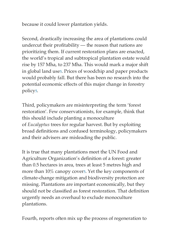because it could lower plantation yields.

Second, drastically increasing the area of plantations could undercut their profitability — the reason that nations are prioritizing them. If current restoration plans are enacted, the world's tropical and subtropical plantation estate would rise by 157 Mha, to 237 Mha. This would mark a major shift in global land us[e5.](https://www.nature.com/articles/d41586-019-01026-8#ref-CR5) Prices of woodchip and paper products would probably fall. But there has been no research into the potential economic effects of this major change in forestry polic[y5.](https://www.nature.com/articles/d41586-019-01026-8#ref-CR5)

Third, policymakers are misinterpreting the term 'forest restoration'. Few conservationists, for example, think that this should include planting a monoculture of *Eucalyptus* trees for regular harvest. But by exploiting broad definitions and confused terminology, policymakers and their advisers are misleading the public.

It is true that many plantations meet the UN Food and Agriculture Organization's definition of a forest: greater than 0.5 hectares in area, trees at least 5 metres high and more than 10% canopy cover[5.](https://www.nature.com/articles/d41586-019-01026-8#ref-CR5) Yet the key components of climate-change mitigation and biodiversity protection are missing. Plantations are important economically, but they should not be classified as forest restoration. That definition urgently needs an overhaul to exclude monoculture plantations.

Fourth, reports often mix up the process of regeneration to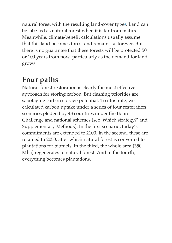natural forest with the resulting land-cover type[6.](https://www.nature.com/articles/d41586-019-01026-8#ref-CR6) Land can be labelled as natural forest when it is far from mature. Meanwhile, climate-benefit calculations usually assume that this land becomes forest and remains so forever. But there is no guarantee that these forests will be protected 50 or 100 years from now, particularly as the demand for land grows.

# **Four paths**

Natural-forest restoration is clearly the most effective approach for storing carbon. But clashing priorities are sabotaging carbon storage potential. To illustrate, we calculated carbon uptake under a series of four restoration scenarios pledged by 43 countries under the Bonn Challenge and national schemes (see 'Which strategy?' and Supplementary Methods). In the first scenario, today's commitments are extended to 2100. In the second, these are retained to 2050, after which natural forest is converted to plantations for biofuels. In the third, the whole area (350 Mha) regenerates to natural forest. And in the fourth, everything becomes plantations.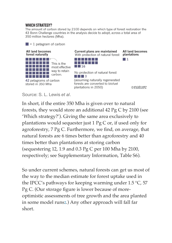#### **WHICH STRATEGY?**

The amount of carbon stored by 2100 depends on which type of forest restoration the 43 Bonn Challenge countries in the analysis decide to adopt, across a total area of 350 million hectares (Mha).



Source: S. L. Lewis *et al*.

In short, if the entire 350 Mha is given over to natural forests, they would store an additional 42 Pg C by 2100 (see 'Which strategy?'). Giving the same area exclusively to plantations would sequester just 1 Pg C or, if used only for agroforestry, 7 Pg C. Furthermore, we find, on average, that natural forests are 6 times better than agroforestry and 40 times better than plantations at storing carbon (sequestering 12, 1.9 and 0.3 Pg C per 100 Mha by 2100, respectively; see Supplementary Information, Table S6).

So under current schemes, natural forests can get us most of the way to the median estimate for forest uptake used in the IPCC's pathways for keeping warming under 1.5 °C, 57 Pg C. (Our storage figure is lower because of moreoptimistic assessments of tree growth and the area planted in some model runs[2.](https://www.nature.com/articles/d41586-019-01026-8#ref-CR2)) Any other approach will fall far short.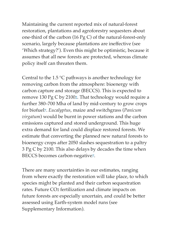Maintaining the current reported mix of natural-forest restoration, plantations and agroforestry sequesters about one-third of the carbon (16 Pg C) of the natural-forest-only scenario, largely because plantations are ineffective (see 'Which strategy?'). Even this might be optimistic, because it assumes that all new forests are protected, whereas climate policy itself can threaten them.

Central to the 1.5 °C pathways is another technology for removing carbon from the atmosphere: bioenergy with carbon capture and storage (BECCS). This is expected to remove 130 Pg C by 210[02](https://www.nature.com/articles/d41586-019-01026-8#ref-CR2). That technology would require a further 380–700 Mha of land by mid-century to grow crops for biofuel[7.](https://www.nature.com/articles/d41586-019-01026-8#ref-CR7) *Eucalyptus*, maize and switchgrass (*Panicum virgatum*) would be burnt in power stations and the carbon emissions captured and stored underground. This huge extra demand for land could displace restored forests. We estimate that converting the planned new natural forests to bioenergy crops after 2050 slashes sequestration to a paltry 3 Pg C by 2100. This also delays by decades the time when BECCS becomes carbon-negative[7](https://www.nature.com/articles/d41586-019-01026-8#ref-CR7).

There are many uncertainties in our estimates, ranging from where exactly the restoration will take place, to which species might be planted and their carbon sequestration rates. Future CO2 fertilization and climate impacts on future forests are especially uncertain, and could be better assessed using Earth-system model runs (see Supplementary Information).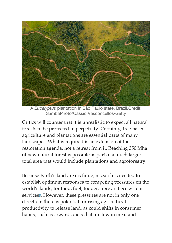

A *Eucalyptus* plantation in São Paulo state, Brazil.Credit: SambaPhoto/Cassio Vasconcellos/Getty

Critics will counter that it is unrealistic to expect all natural forests to be protected in perpetuity. Certainly, tree-based agriculture and plantations are essential parts of many landscapes. What is required is an extension of the restoration agenda, not a retreat from it. Reaching 350 Mha of new natural forest is possible as part of a much larger total area that would include plantations and agroforestry.

Because Earth's land area is finite, research is needed to establish optimum responses to competing pressures on the world's lands, for food, fuel, fodder, fibre and ecosystem service[s8](https://www.nature.com/articles/d41586-019-01026-8#ref-CR8). However, these pressures are not in only one direction: there is potential for rising agricultural productivity to release land, as could shifts in consumer habits, such as towards diets that are low in meat and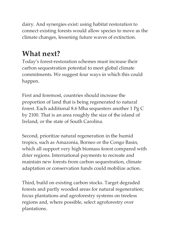dairy. And synergies exist: using habitat restoration to connect existing forests would allow species to move as the climate changes, lessening future waves of extinction.

# **What next?**

Today's forest-restoration schemes must increase their carbon sequestration potential to meet global climate commitments. We suggest four ways in which this could happen.

First and foremost, countries should increase the proportion of land that is being regenerated to natural forest. Each additional 8.6 Mha sequesters another 1 Pg C by 2100. That is an area roughly the size of the island of Ireland, or the state of South Carolina.

Second, prioritize natural regeneration in the humid tropics, such as Amazonia, Borneo or the Congo Basin, which all support very high biomass forest compared with drier regions. International payments to recreate and maintain new forests from carbon sequestration, climate adaptation or conservation funds could mobilize action.

Third, build on existing carbon stocks. Target degraded forests and partly wooded areas for natural regeneration; focus plantations and agroforestry systems on treeless regions and, where possible, select agroforestry over plantations.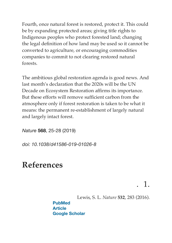Fourth, once natural forest is restored, protect it. This could be by expanding protected areas; giving title rights to Indigenous peoples who protect forested land; changing the legal definition of how land may be used so it cannot be converted to agriculture, or encouraging commodities companies to commit to not clearing restored natural forests.

The ambitious global restoration agenda is good news. And last month's declaration that the 2020s will be the UN Decade on Ecosystem Restoration affirms its importance. But these efforts will remove sufficient carbon from the atmosphere only if forest restoration is taken to be what it means: the permanent re-establishment of largely natural and largely intact forest.

*Nature* **568**, 25-28 (2019)

*doi: 10.1038/d41586-019-01026-8*

## **References**

. 1.

Lewis, S. L. *Nature* **532**, 283 (2016).

**[PubMed](http://www.ncbi.nlm.nih.gov/entrez/query.fcgi?cmd=Retrieve&db=PubMed&dopt=Abstract&list_uids=27111605) [Article](https://doi.org/10.1038%2F532283a) [Google Scholar](http://scholar.google.com/scholar_lookup?&journal=Nature&volume=532&publication_year=2016&author=Lewis%2CS.%20L.)**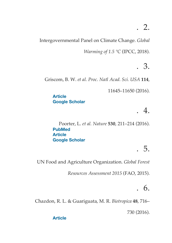Intergovernmental Panel on Climate Change. *Global* 

*Warming of 1.5 °C* (IPCC, 2018).

. 3.

Griscom, B. W. *et al. Proc. Natl Acad. Sci. USA* **114**,

11645–11650 (2016).

**[Article](https://doi.org/10.1073%2Fpnas.1710465114) [Google Scholar](http://scholar.google.com/scholar_lookup?&journal=Proc.%20Natl%20Acad.%20Sci.%20USA&volume=114&pages=11645-11650&publication_year=2016&author=Griscom%2CB.%20W.)**

## . 4.

Poorter, L. *et al. Nature* **530**, 211–214 (2016). **[PubMed](http://www.ncbi.nlm.nih.gov/entrez/query.fcgi?cmd=Retrieve&db=PubMed&dopt=Abstract&list_uids=26840632) [Article](https://doi.org/10.1038%2Fnature16512) [Google Scholar](http://scholar.google.com/scholar_lookup?&journal=Nature&volume=530&pages=211-214&publication_year=2016&author=Poorter%2CL.)**

# . 5.

UN Food and Agriculture Organization. *Global Forest* 

*Resources Assessment 2015* (FAO, 2015).

# . 6.

Chazdon, R. L. & Guariguata, M. R. *Biotropica* **48**, 716–

730 (2016).

#### **[Article](https://doi.org/10.1111%2Fbtp.12381)**